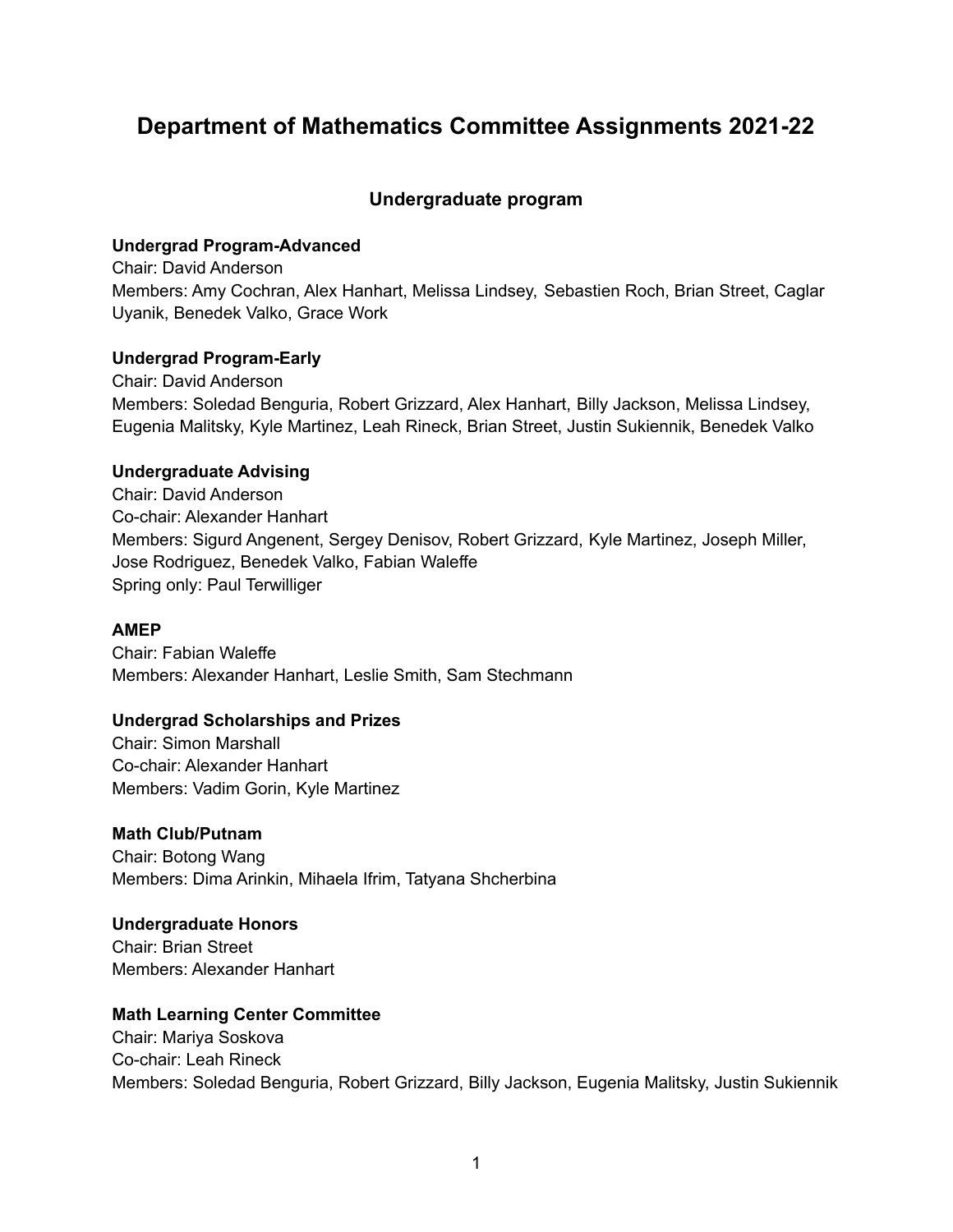# **Department of Mathematics Committee Assignments 2021-22**

# **Undergraduate program**

### **Undergrad Program-Advanced**

Chair: David Anderson Members: Amy Cochran, Alex Hanhart, Melissa Lindsey, Sebastien Roch, Brian Street, Caglar Uyanik, Benedek Valko, Grace Work

### **Undergrad Program-Early**

Chair: David Anderson Members: Soledad Benguria, Robert Grizzard, Alex Hanhart, Billy Jackson, Melissa Lindsey, Eugenia Malitsky, Kyle Martinez, Leah Rineck, Brian Street, Justin Sukiennik, Benedek Valko

## **Undergraduate Advising**

Chair: David Anderson Co-chair: Alexander Hanhart Members: Sigurd Angenent, Sergey Denisov, Robert Grizzard, Kyle Martinez, Joseph Miller, Jose Rodriguez, Benedek Valko, Fabian Waleffe Spring only: Paul Terwilliger

### **AMEP**

Chair: Fabian Waleffe Members: Alexander Hanhart, Leslie Smith, Sam Stechmann

# **Undergrad Scholarships and Prizes**

Chair: Simon Marshall Co-chair: Alexander Hanhart Members: Vadim Gorin, Kyle Martinez

### **Math Club/Putnam**

Chair: Botong Wang Members: Dima Arinkin, Mihaela Ifrim, Tatyana Shcherbina

# **Undergraduate Honors**

Chair: Brian Street Members: Alexander Hanhart

### **Math Learning Center Committee**

Chair: Mariya Soskova Co-chair: Leah Rineck Members: Soledad Benguria, Robert Grizzard, Billy Jackson, Eugenia Malitsky, Justin Sukiennik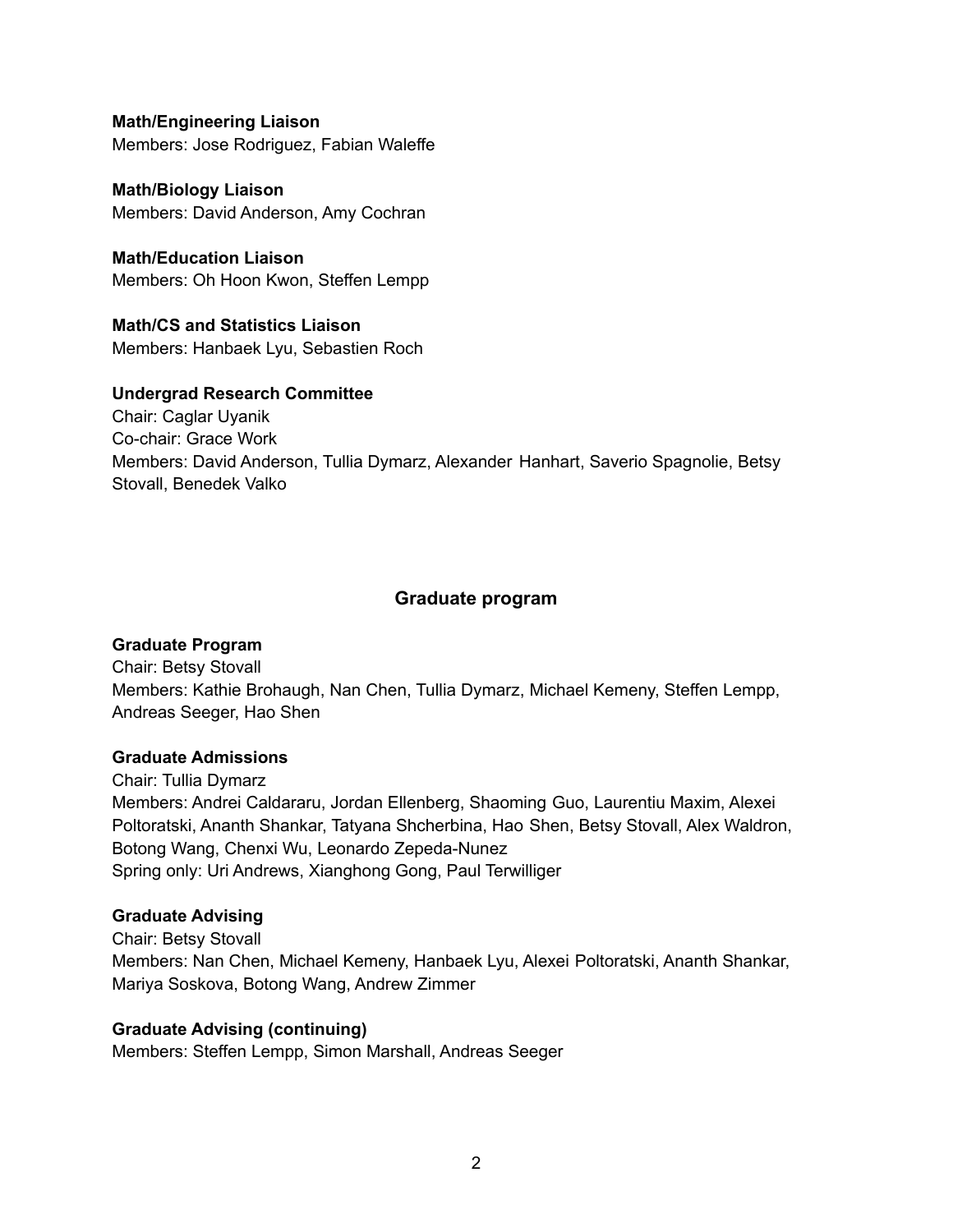**Math/Engineering Liaison** Members: Jose Rodriguez, Fabian Waleffe

**Math/Biology Liaison** Members: David Anderson, Amy Cochran

**Math/Education Liaison** Members: Oh Hoon Kwon, Steffen Lempp

**Math/CS and Statistics Liaison** Members: Hanbaek Lyu, Sebastien Roch

## **Undergrad Research Committee**

Chair: Caglar Uyanik Co-chair: Grace Work Members: David Anderson, Tullia Dymarz, Alexander Hanhart, Saverio Spagnolie, Betsy Stovall, Benedek Valko

# **Graduate program**

# **Graduate Program**

Chair: Betsy Stovall Members: Kathie Brohaugh, Nan Chen, Tullia Dymarz, Michael Kemeny, Steffen Lempp, Andreas Seeger, Hao Shen

### **Graduate Admissions**

Chair: Tullia Dymarz Members: Andrei Caldararu, Jordan Ellenberg, Shaoming Guo, Laurentiu Maxim, Alexei Poltoratski, Ananth Shankar, Tatyana Shcherbina, Hao Shen, Betsy Stovall, Alex Waldron, Botong Wang, Chenxi Wu, Leonardo Zepeda-Nunez Spring only: Uri Andrews, Xianghong Gong, Paul Terwilliger

# **Graduate Advising**

Chair: Betsy Stovall Members: Nan Chen, Michael Kemeny, Hanbaek Lyu, Alexei Poltoratski, Ananth Shankar, Mariya Soskova, Botong Wang, Andrew Zimmer

# **Graduate Advising (continuing)**

Members: Steffen Lempp, Simon Marshall, Andreas Seeger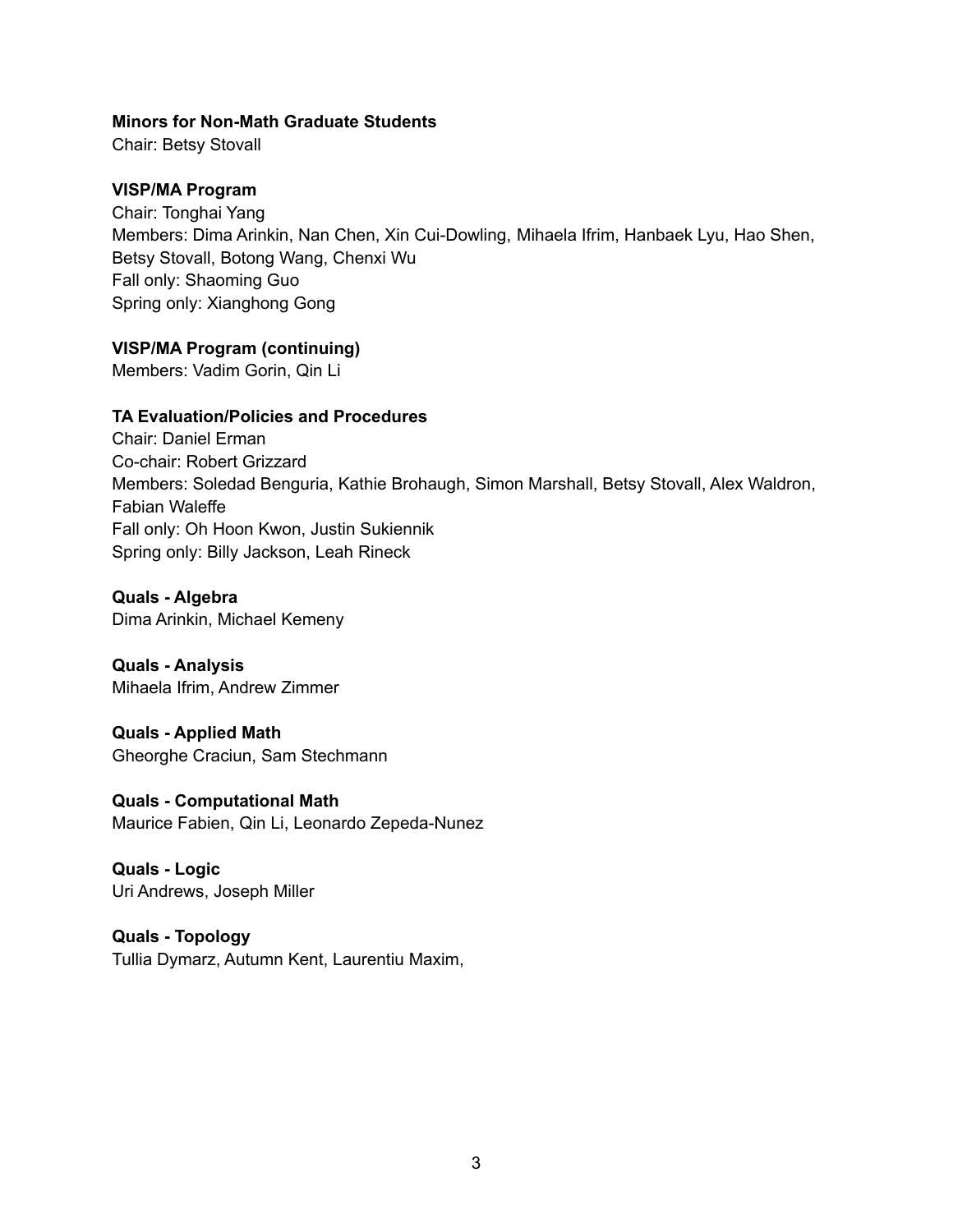### **Minors for Non-Math Graduate Students**

Chair: Betsy Stovall

### **VISP/MA Program**

Chair: Tonghai Yang Members: Dima Arinkin, Nan Chen, Xin Cui-Dowling, Mihaela Ifrim, Hanbaek Lyu, Hao Shen, Betsy Stovall, Botong Wang, Chenxi Wu Fall only: Shaoming Guo Spring only: Xianghong Gong

### **VISP/MA Program (continuing)**

Members: Vadim Gorin, Qin Li

### **TA Evaluation/Policies and Procedures**

Chair: Daniel Erman Co-chair: Robert Grizzard Members: Soledad Benguria, Kathie Brohaugh, Simon Marshall, Betsy Stovall, Alex Waldron, Fabian Waleffe Fall only: Oh Hoon Kwon, Justin Sukiennik Spring only: Billy Jackson, Leah Rineck

**Quals - Algebra** Dima Arinkin, Michael Kemeny

**Quals - Analysis** Mihaela Ifrim, Andrew Zimmer

**Quals - Applied Math** Gheorghe Craciun, Sam Stechmann

**Quals - Computational Math** Maurice Fabien, Qin Li, Leonardo Zepeda-Nunez

**Quals - Logic** Uri Andrews, Joseph Miller

**Quals - Topology** Tullia Dymarz, Autumn Kent, Laurentiu Maxim,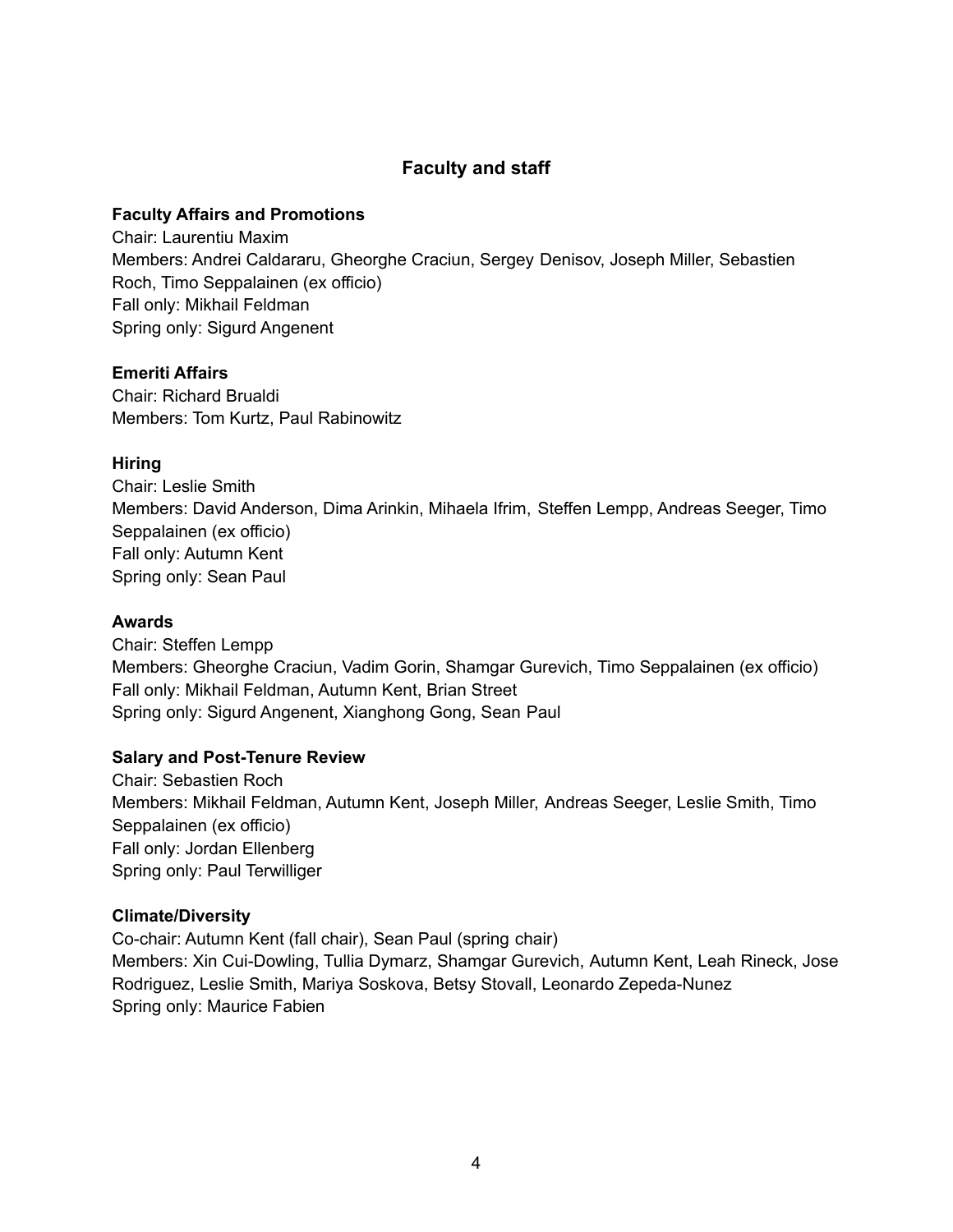# **Faculty and staff**

### **Faculty Affairs and Promotions**

Chair: Laurentiu Maxim Members: Andrei Caldararu, Gheorghe Craciun, Sergey Denisov, Joseph Miller, Sebastien Roch, Timo Seppalainen (ex officio) Fall only: Mikhail Feldman Spring only: Sigurd Angenent

### **Emeriti Affairs**

Chair: Richard Brualdi Members: Tom Kurtz, Paul Rabinowitz

### **Hiring**

Chair: Leslie Smith Members: David Anderson, Dima Arinkin, Mihaela Ifrim, Steffen Lempp, Andreas Seeger, Timo Seppalainen (ex officio) Fall only: Autumn Kent Spring only: Sean Paul

#### **Awards**

Chair: Steffen Lempp Members: Gheorghe Craciun, Vadim Gorin, Shamgar Gurevich, Timo Seppalainen (ex officio) Fall only: Mikhail Feldman, Autumn Kent, Brian Street Spring only: Sigurd Angenent, Xianghong Gong, Sean Paul

### **Salary and Post-Tenure Review**

Chair: Sebastien Roch Members: Mikhail Feldman, Autumn Kent, Joseph Miller, Andreas Seeger, Leslie Smith, Timo Seppalainen (ex officio) Fall only: Jordan Ellenberg Spring only: Paul Terwilliger

### **Climate/Diversity**

Co-chair: Autumn Kent (fall chair), Sean Paul (spring chair) Members: Xin Cui-Dowling, Tullia Dymarz, Shamgar Gurevich, Autumn Kent, Leah Rineck, Jose Rodriguez, Leslie Smith, Mariya Soskova, Betsy Stovall, Leonardo Zepeda-Nunez Spring only: Maurice Fabien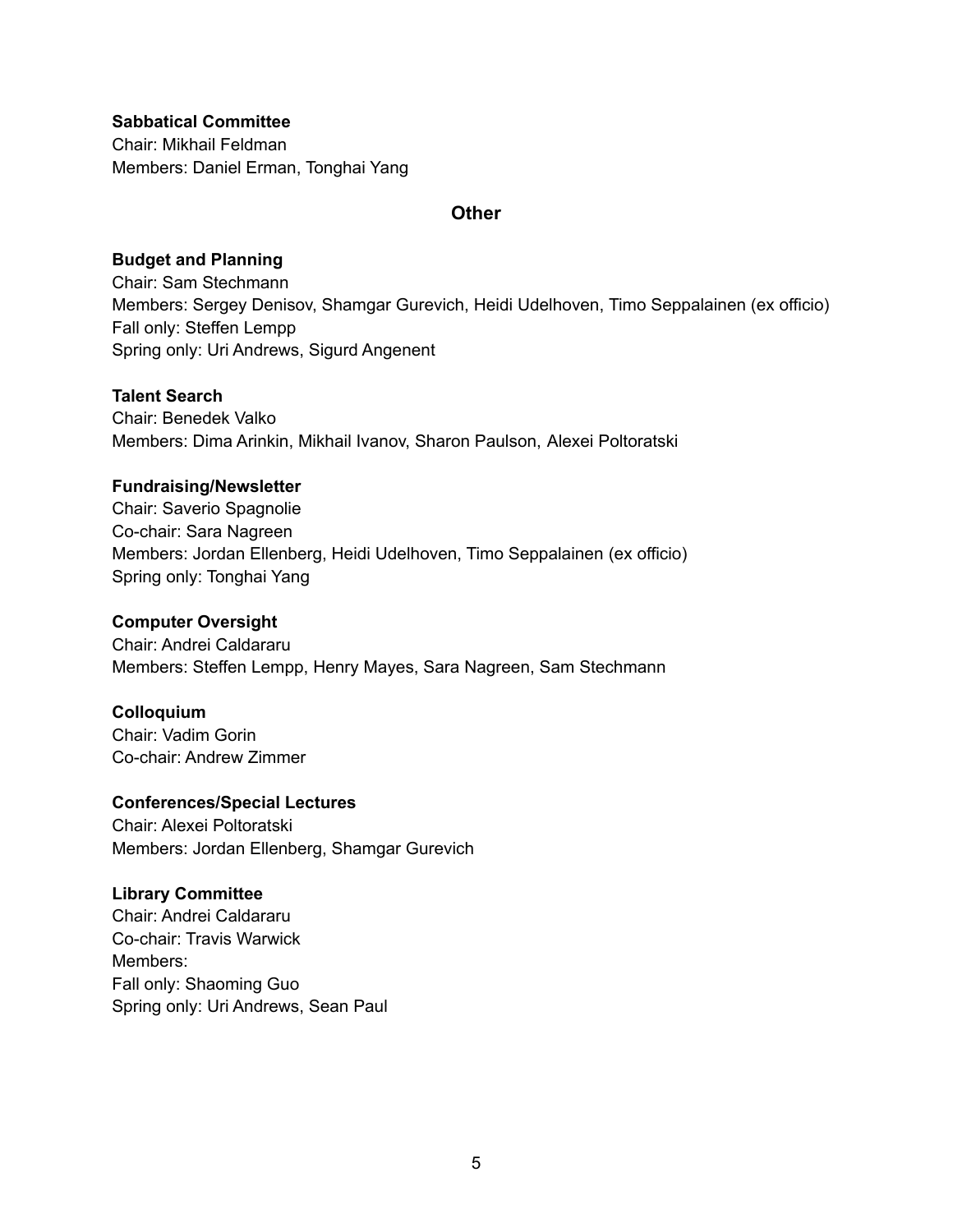**Sabbatical Committee** Chair: Mikhail Feldman Members: Daniel Erman, Tonghai Yang

### **Other**

### **Budget and Planning**

Chair: Sam Stechmann Members: Sergey Denisov, Shamgar Gurevich, Heidi Udelhoven, Timo Seppalainen (ex officio) Fall only: Steffen Lempp Spring only: Uri Andrews, Sigurd Angenent

## **Talent Search**

Chair: Benedek Valko Members: Dima Arinkin, Mikhail Ivanov, Sharon Paulson, Alexei Poltoratski

### **Fundraising/Newsletter**

Chair: Saverio Spagnolie Co-chair: Sara Nagreen Members: Jordan Ellenberg, Heidi Udelhoven, Timo Seppalainen (ex officio) Spring only: Tonghai Yang

## **Computer Oversight**

Chair: Andrei Caldararu Members: Steffen Lempp, Henry Mayes, Sara Nagreen, Sam Stechmann

# **Colloquium**

Chair: Vadim Gorin Co-chair: Andrew Zimmer

### **Conferences/Special Lectures**

Chair: Alexei Poltoratski Members: Jordan Ellenberg, Shamgar Gurevich

### **Library Committee**

Chair: Andrei Caldararu Co-chair: Travis Warwick Members: Fall only: Shaoming Guo Spring only: Uri Andrews, Sean Paul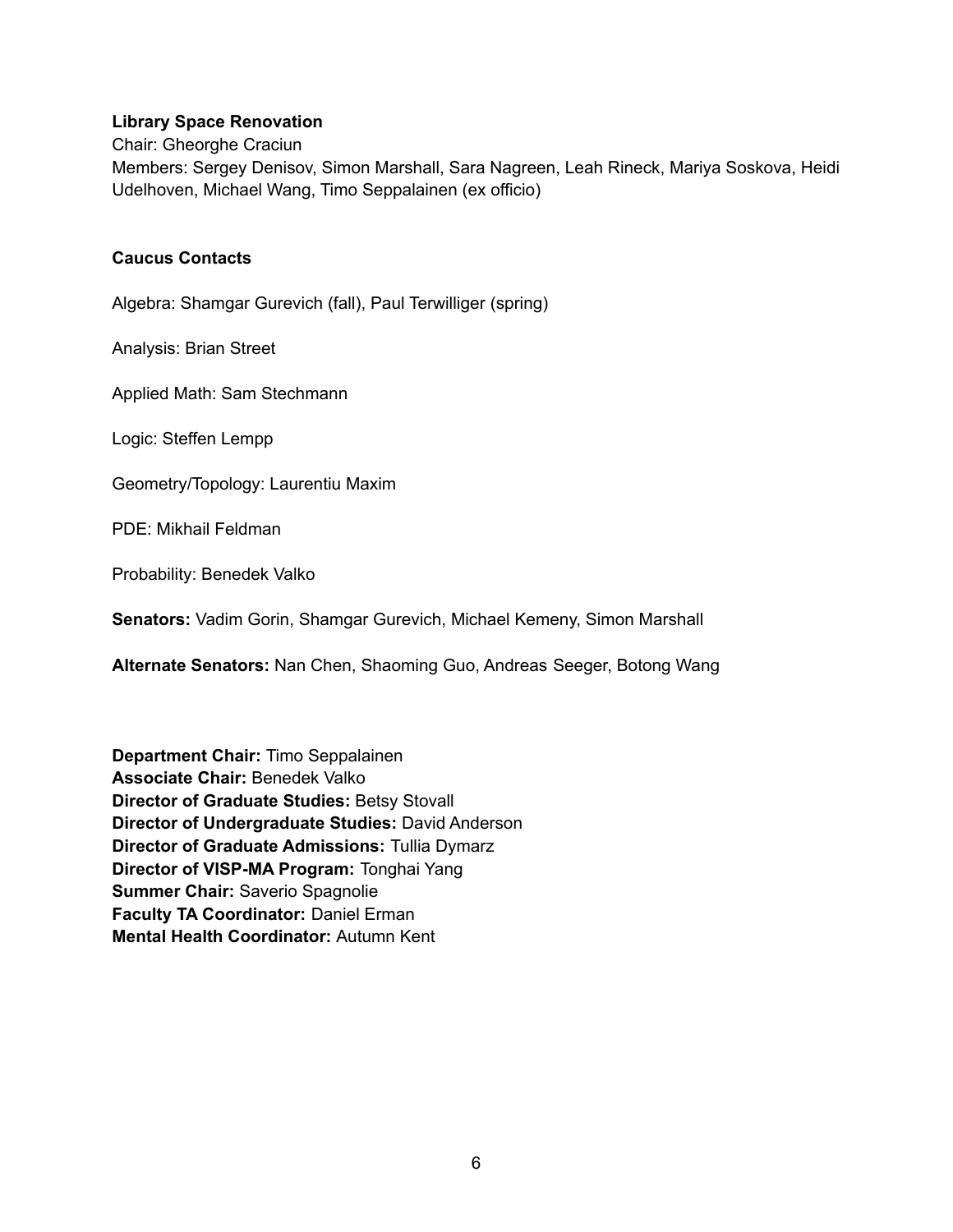### **Library Space Renovation**

Chair: Gheorghe Craciun

Members: Sergey Denisov, Simon Marshall, Sara Nagreen, Leah Rineck, Mariya Soskova, Heidi Udelhoven, Michael Wang, Timo Seppalainen (ex officio)

### **Caucus Contacts**

Algebra: Shamgar Gurevich (fall), Paul Terwilliger (spring)

Analysis: Brian Street

Applied Math: Sam Stechmann

Logic: Steffen Lempp

Geometry/Topology: Laurentiu Maxim

PDE: Mikhail Feldman

Probability: Benedek Valko

**Senators:** Vadim Gorin, Shamgar Gurevich, Michael Kemeny, Simon Marshall

**Alternate Senators:** Nan Chen, Shaoming Guo, Andreas Seeger, Botong Wang

**Department Chair:** Timo Seppalainen **Associate Chair:** Benedek Valko **Director of Graduate Studies:** Betsy Stovall **Director of Undergraduate Studies:** David Anderson **Director of Graduate Admissions:** Tullia Dymarz **Director of VISP-MA Program:** Tonghai Yang **Summer Chair:** Saverio Spagnolie **Faculty TA Coordinator:** Daniel Erman **Mental Health Coordinator:** Autumn Kent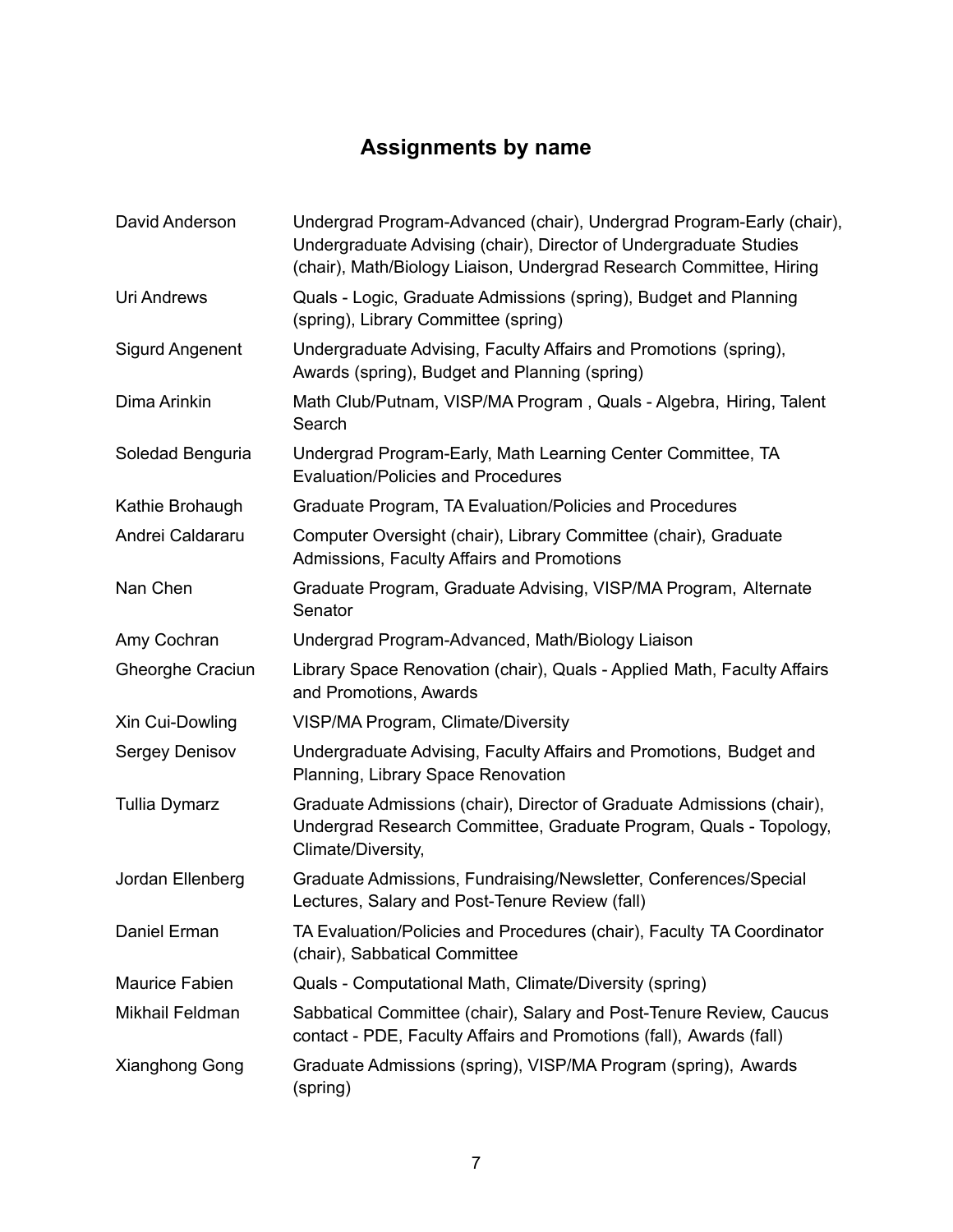# **Assignments by name**

| David Anderson          | Undergrad Program-Advanced (chair), Undergrad Program-Early (chair),<br>Undergraduate Advising (chair), Director of Undergraduate Studies<br>(chair), Math/Biology Liaison, Undergrad Research Committee, Hiring |
|-------------------------|------------------------------------------------------------------------------------------------------------------------------------------------------------------------------------------------------------------|
| <b>Uri Andrews</b>      | Quals - Logic, Graduate Admissions (spring), Budget and Planning<br>(spring), Library Committee (spring)                                                                                                         |
| <b>Sigurd Angenent</b>  | Undergraduate Advising, Faculty Affairs and Promotions (spring),<br>Awards (spring), Budget and Planning (spring)                                                                                                |
| Dima Arinkin            | Math Club/Putnam, VISP/MA Program, Quals - Algebra, Hiring, Talent<br>Search                                                                                                                                     |
| Soledad Benguria        | Undergrad Program-Early, Math Learning Center Committee, TA<br><b>Evaluation/Policies and Procedures</b>                                                                                                         |
| Kathie Brohaugh         | Graduate Program, TA Evaluation/Policies and Procedures                                                                                                                                                          |
| Andrei Caldararu        | Computer Oversight (chair), Library Committee (chair), Graduate<br>Admissions, Faculty Affairs and Promotions                                                                                                    |
| Nan Chen                | Graduate Program, Graduate Advising, VISP/MA Program, Alternate<br>Senator                                                                                                                                       |
| Amy Cochran             | Undergrad Program-Advanced, Math/Biology Liaison                                                                                                                                                                 |
| <b>Gheorghe Craciun</b> | Library Space Renovation (chair), Quals - Applied Math, Faculty Affairs<br>and Promotions, Awards                                                                                                                |
| Xin Cui-Dowling         | VISP/MA Program, Climate/Diversity                                                                                                                                                                               |
| Sergey Denisov          | Undergraduate Advising, Faculty Affairs and Promotions, Budget and<br>Planning, Library Space Renovation                                                                                                         |
| <b>Tullia Dymarz</b>    | Graduate Admissions (chair), Director of Graduate Admissions (chair),<br>Undergrad Research Committee, Graduate Program, Quals - Topology,<br>Climate/Diversity,                                                 |
| Jordan Ellenberg        | Graduate Admissions, Fundraising/Newsletter, Conferences/Special<br>Lectures, Salary and Post-Tenure Review (fall)                                                                                               |
| Daniel Erman            | TA Evaluation/Policies and Procedures (chair), Faculty TA Coordinator<br>(chair), Sabbatical Committee                                                                                                           |
| <b>Maurice Fabien</b>   | Quals - Computational Math, Climate/Diversity (spring)                                                                                                                                                           |
| Mikhail Feldman         | Sabbatical Committee (chair), Salary and Post-Tenure Review, Caucus<br>contact - PDE, Faculty Affairs and Promotions (fall), Awards (fall)                                                                       |
| <b>Xianghong Gong</b>   | Graduate Admissions (spring), VISP/MA Program (spring), Awards<br>(spring)                                                                                                                                       |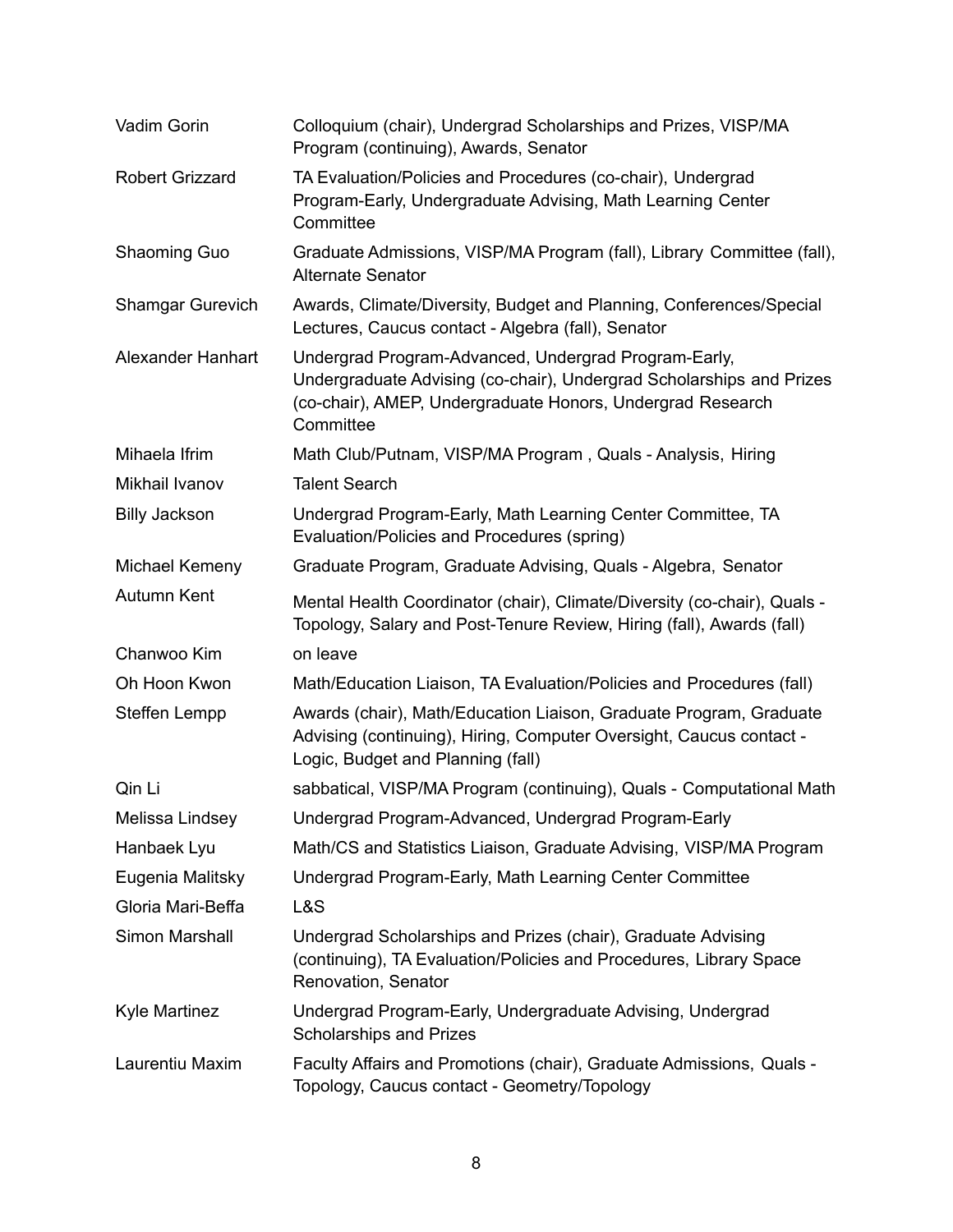| Vadim Gorin             | Colloquium (chair), Undergrad Scholarships and Prizes, VISP/MA<br>Program (continuing), Awards, Senator                                                                                                 |
|-------------------------|---------------------------------------------------------------------------------------------------------------------------------------------------------------------------------------------------------|
| <b>Robert Grizzard</b>  | TA Evaluation/Policies and Procedures (co-chair), Undergrad<br>Program-Early, Undergraduate Advising, Math Learning Center<br>Committee                                                                 |
| Shaoming Guo            | Graduate Admissions, VISP/MA Program (fall), Library Committee (fall),<br><b>Alternate Senator</b>                                                                                                      |
| <b>Shamgar Gurevich</b> | Awards, Climate/Diversity, Budget and Planning, Conferences/Special<br>Lectures, Caucus contact - Algebra (fall), Senator                                                                               |
| Alexander Hanhart       | Undergrad Program-Advanced, Undergrad Program-Early,<br>Undergraduate Advising (co-chair), Undergrad Scholarships and Prizes<br>(co-chair), AMEP, Undergraduate Honors, Undergrad Research<br>Committee |
| Mihaela Ifrim           | Math Club/Putnam, VISP/MA Program, Quals - Analysis, Hiring                                                                                                                                             |
| Mikhail Ivanov          | <b>Talent Search</b>                                                                                                                                                                                    |
| <b>Billy Jackson</b>    | Undergrad Program-Early, Math Learning Center Committee, TA<br>Evaluation/Policies and Procedures (spring)                                                                                              |
| Michael Kemeny          | Graduate Program, Graduate Advising, Quals - Algebra, Senator                                                                                                                                           |
| Autumn Kent             | Mental Health Coordinator (chair), Climate/Diversity (co-chair), Quals -<br>Topology, Salary and Post-Tenure Review, Hiring (fall), Awards (fall)                                                       |
| Chanwoo Kim             | on leave                                                                                                                                                                                                |
| Oh Hoon Kwon            | Math/Education Liaison, TA Evaluation/Policies and Procedures (fall)                                                                                                                                    |
| Steffen Lempp           | Awards (chair), Math/Education Liaison, Graduate Program, Graduate<br>Advising (continuing), Hiring, Computer Oversight, Caucus contact -<br>Logic, Budget and Planning (fall)                          |
| Qin Li                  | sabbatical, VISP/MA Program (continuing), Quals - Computational Math                                                                                                                                    |
| Melissa Lindsey         | Undergrad Program-Advanced, Undergrad Program-Early                                                                                                                                                     |
| Hanbaek Lyu             | Math/CS and Statistics Liaison, Graduate Advising, VISP/MA Program                                                                                                                                      |
| Eugenia Malitsky        | Undergrad Program-Early, Math Learning Center Committee                                                                                                                                                 |
| Gloria Mari-Beffa       | L&S                                                                                                                                                                                                     |
| Simon Marshall          | Undergrad Scholarships and Prizes (chair), Graduate Advising<br>(continuing), TA Evaluation/Policies and Procedures, Library Space<br>Renovation, Senator                                               |
| <b>Kyle Martinez</b>    | Undergrad Program-Early, Undergraduate Advising, Undergrad<br>Scholarships and Prizes                                                                                                                   |
| Laurentiu Maxim         | Faculty Affairs and Promotions (chair), Graduate Admissions, Quals -<br>Topology, Caucus contact - Geometry/Topology                                                                                    |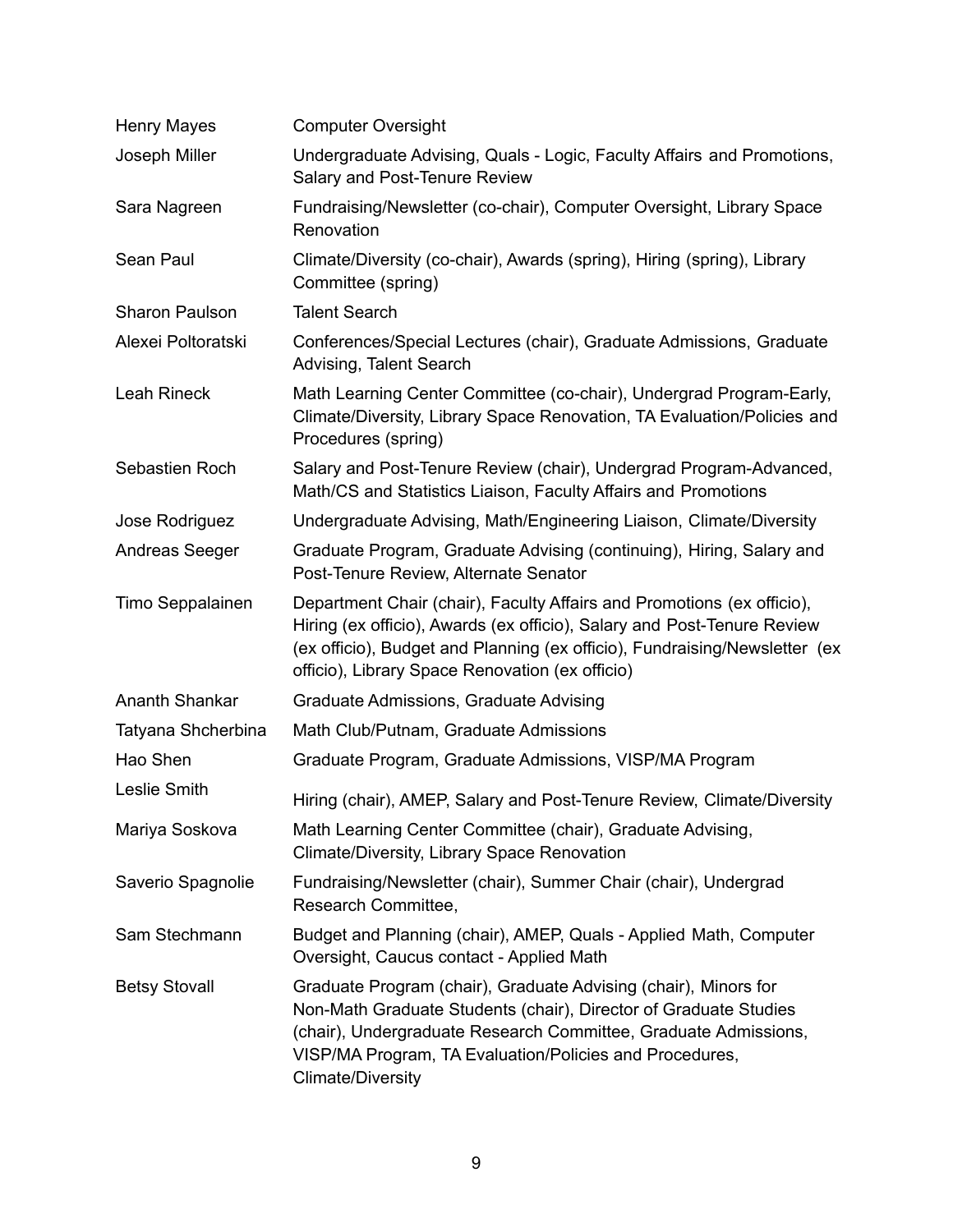| <b>Henry Mayes</b>    | <b>Computer Oversight</b>                                                                                                                                                                                                                                                                     |
|-----------------------|-----------------------------------------------------------------------------------------------------------------------------------------------------------------------------------------------------------------------------------------------------------------------------------------------|
| Joseph Miller         | Undergraduate Advising, Quals - Logic, Faculty Affairs and Promotions,<br>Salary and Post-Tenure Review                                                                                                                                                                                       |
| Sara Nagreen          | Fundraising/Newsletter (co-chair), Computer Oversight, Library Space<br>Renovation                                                                                                                                                                                                            |
| Sean Paul             | Climate/Diversity (co-chair), Awards (spring), Hiring (spring), Library<br>Committee (spring)                                                                                                                                                                                                 |
| <b>Sharon Paulson</b> | <b>Talent Search</b>                                                                                                                                                                                                                                                                          |
| Alexei Poltoratski    | Conferences/Special Lectures (chair), Graduate Admissions, Graduate<br>Advising, Talent Search                                                                                                                                                                                                |
| Leah Rineck           | Math Learning Center Committee (co-chair), Undergrad Program-Early,<br>Climate/Diversity, Library Space Renovation, TA Evaluation/Policies and<br>Procedures (spring)                                                                                                                         |
| Sebastien Roch        | Salary and Post-Tenure Review (chair), Undergrad Program-Advanced,<br>Math/CS and Statistics Liaison, Faculty Affairs and Promotions                                                                                                                                                          |
| Jose Rodriguez        | Undergraduate Advising, Math/Engineering Liaison, Climate/Diversity                                                                                                                                                                                                                           |
| <b>Andreas Seeger</b> | Graduate Program, Graduate Advising (continuing), Hiring, Salary and<br>Post-Tenure Review, Alternate Senator                                                                                                                                                                                 |
| Timo Seppalainen      | Department Chair (chair), Faculty Affairs and Promotions (ex officio),<br>Hiring (ex officio), Awards (ex officio), Salary and Post-Tenure Review<br>(ex officio), Budget and Planning (ex officio), Fundraising/Newsletter (ex<br>officio), Library Space Renovation (ex officio)            |
| Ananth Shankar        | Graduate Admissions, Graduate Advising                                                                                                                                                                                                                                                        |
| Tatyana Shcherbina    | Math Club/Putnam, Graduate Admissions                                                                                                                                                                                                                                                         |
| Hao Shen              | Graduate Program, Graduate Admissions, VISP/MA Program                                                                                                                                                                                                                                        |
| Leslie Smith          | Hiring (chair), AMEP, Salary and Post-Tenure Review, Climate/Diversity                                                                                                                                                                                                                        |
| Mariya Soskova        | Math Learning Center Committee (chair), Graduate Advising,<br>Climate/Diversity, Library Space Renovation                                                                                                                                                                                     |
| Saverio Spagnolie     | Fundraising/Newsletter (chair), Summer Chair (chair), Undergrad<br>Research Committee,                                                                                                                                                                                                        |
| Sam Stechmann         | Budget and Planning (chair), AMEP, Quals - Applied Math, Computer<br>Oversight, Caucus contact - Applied Math                                                                                                                                                                                 |
| <b>Betsy Stovall</b>  | Graduate Program (chair), Graduate Advising (chair), Minors for<br>Non-Math Graduate Students (chair), Director of Graduate Studies<br>(chair), Undergraduate Research Committee, Graduate Admissions,<br>VISP/MA Program, TA Evaluation/Policies and Procedures,<br><b>Climate/Diversity</b> |